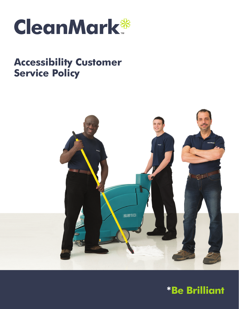

# **Accessibility Customer Service Policy**



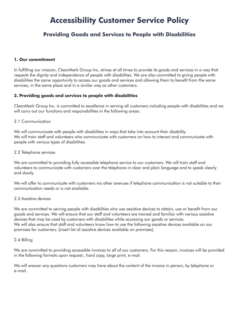## **Accessibility Customer Service Policy**

### **Providing Goods and Services to People with Disabilities**

#### **1. Our commitment**

In fulfilling our mission, CleanMark Group Inc. strives at all times to provide its goods and services in a way that respects the dignity and independence of people with disabilities. We are also committed to giving people with disabilities the same opportunity to access our goods and services and allowing them to benefit from the same services, in the same place and in a similar way as other customers.

#### **2. Providing goods and services to people with disabilities**

CleanMark Group Inc. is committed to excellence in serving all customers including people with disabilities and we will carry out our functions and responsibilities in the following areas:

#### 2.1 Communication

We will communicate with people with disabilities in ways that take into account their disability. We will train staff and volunteers who communicate with customers on how to interact and communicate with people with various types of disabilities.

#### 2.2 Telephone services

We are committed to providing fully accessible telephone service to our customers. We will train staff and volunteers to communicate with customers over the telephone in clear and plain language and to speak clearly and slowly.

We will offer to communicate with customers via other avenues if telephone communication is not suitable to their communication needs or is not available.

#### 2.3 Assistive devices

We are committed to serving people with disabilities who use assistive devices to obtain, use or benefit from our goods and services. We will ensure that our staff and volunteers are trained and familiar with various assistive devices that may be used by customers with disabilities while accessing our goods or services. We will also ensure that staff and volunteers know how to use the following assistive devices available on our premises for customers: [insert list of assistive devices available on premises].

#### 2.4 Billing

We are committed to providing accessible invoices to all of our customers. For this reason, invoices will be provided in the following formats upon request:, hard copy, large print, e-mail.

We will answer any questions customers may have about the content of the invoice in person, by telephone or e-mail.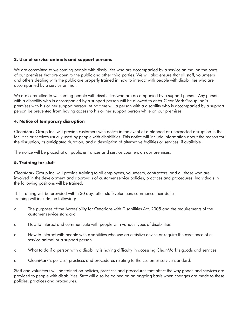#### **3. Use of service animals and support persons**

We are committed to welcoming people with disabilities who are accompanied by a service animal on the parts of our premises that are open to the public and other third parties. We will also ensure that all staff, volunteers and others dealing with the public are properly trained in how to interact with people with disabilities who are accompanied by a service animal.

We are committed to welcoming people with disabilities who are accompanied by a support person. Any person with a disability who is accompanied by a support person will be allowed to enter CleanMark Group Inc.'s premises with his or her support person. At no time will a person with a disability who is accompanied by a support person be prevented from having access to his or her support person while on our premises.

#### **4. Notice of temporary disruption**

CleanMark Group Inc. will provide customers with notice in the event of a planned or unexpected disruption in the facilities or services usually used by people with disabilities. This notice will include information about the reason for the disruption, its anticipated duration, and a description of alternative facilities or services, if available.

The notice will be placed at all public entrances and service counters on our premises.

#### **5. Training for staff**

CleanMark Group Inc. will provide training to all employees, volunteers, contractors, and all those who are involved in the development and approvals of customer service policies, practices and procedures. Individuals in the following positions will be trained:

This training will be provided within 30 days after staff/volunteers commence their duties. Training will include the following:

- o The purposes of the Accessibility for Ontarians with Disabilities Act, 2005 and the requirements of the customer service standard
- o How to interact and communicate with people with various types of disabilities
- o How to interact with people with disabilities who use an assistive device or require the assistance of a service animal or a support person
- o What to do if a person with a disability is having difficulty in accessing CleanMark's goods and services.
- o CleanMark's policies, practices and procedures relating to the customer service standard.

Staff and volunteers will be trained on policies, practices and procedures that affect the way goods and services are provided to people with disabilities. Staff will also be trained on an ongoing basis when changes are made to these policies, practices and procedures.